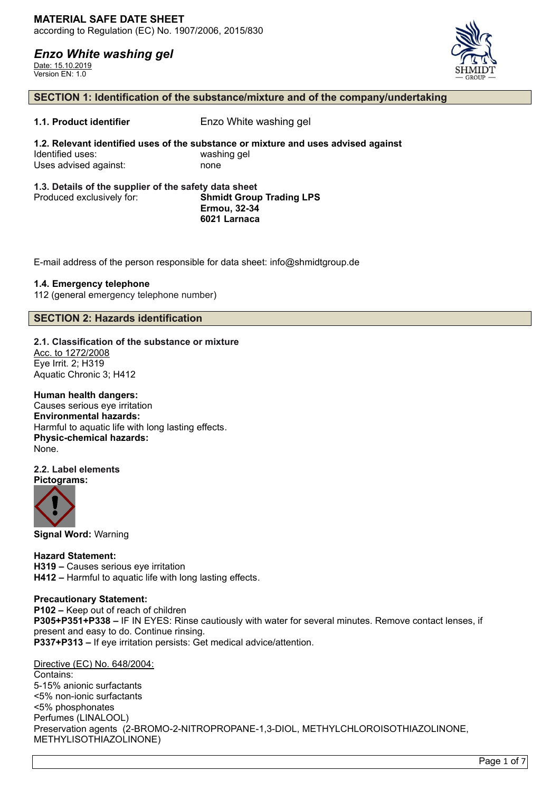Date: 15.10.2019 Version EN: 1.0



### **SECTION 1: Identification of the substance/mixture and of the company/undertaking**

**1.1. Product identifier** Enzo White washing gel

**1.2. Relevant identified uses of the substance or mixture and uses advised against** Identified uses: washing gel Uses advised against: none

#### **1.3. Details of the supplier of the safety data sheet** Produced exclusively for: **Shmidt Group Trading LPS Ermou, 32-34 6021 Larnaca**

E-mail address of the person responsible for data sheet: info@shmidtgroup.de

### **1.4. Emergency telephone**

112 (general emergency telephone number)

### **SECTION 2: Hazards identification**

**2.1. Classification of the substance or mixture** Acc. to 1272/2008

Eye Irrit. 2; H319 Aquatic Chronic 3; H412

### **Human health dangers:**

Causes serious eye irritation **Environmental hazards:** Harmful to aquatic life with long lasting effects. **Physic-chemical hazards:** None.

#### **2.2. Label elements Pictograms:**



**Signal Word:** Warning

**Hazard Statement: H319 –** Causes serious eye irritation **H412 –** Harmful to aquatic life with long lasting effects.

### **Precautionary Statement:**

**P102 –** Keep out of reach of children **P305+P351+P338 –** IF IN EYES: Rinse cautiously with water for several minutes. Remove contact lenses, if present and easy to do. Continue rinsing. **P337+P313 –** If eye irritation persists: Get medical advice/attention.

### Directive (EC) No. 648/2004:

Contains: 5-15% anionic surfactants <5% non-ionic surfactants <5% phosphonates Perfumes (LINALOOL) Preservation agents (2-BROMO-2-NITROPROPANE-1,3-DIOL, METHYLCHLOROISOTHIAZOLINONE, METHYLISOTHIAZOLINONE)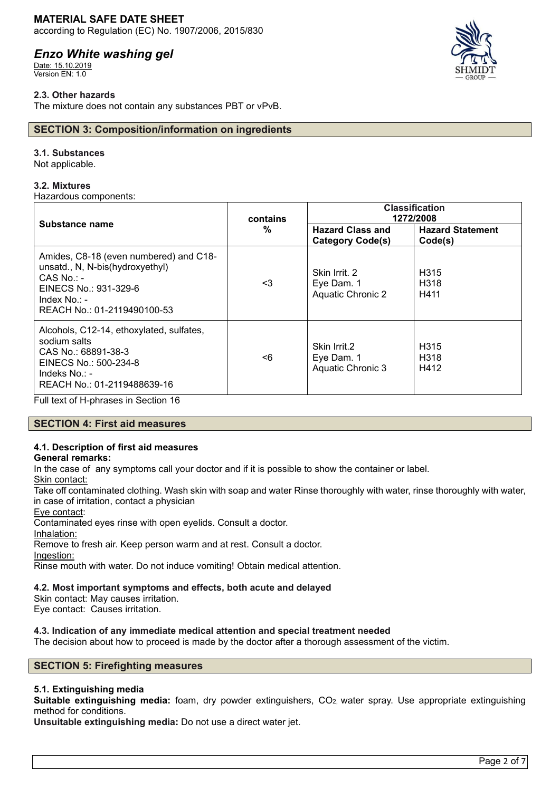### **MATERIAL SAFE DATE SHEET**

according to Regulation (EC) No. 1907/2006, 2015/830

# *Enzo White washing gel*

Date: 15.10.2019 Version EN: 1.0

### **2.3. Other hazards**

The mixture does not contain any substances PBT or vPvB.

### **SECTION 3: Composition/information on ingredients**

### **3.1. Substances**

Not applicable.

### **3.2. Mixtures**

Hazardous components:

| Substance name                                                                                                                                                       | contains<br>% | <b>Classification</b><br>1272/2008                      |                                               |
|----------------------------------------------------------------------------------------------------------------------------------------------------------------------|---------------|---------------------------------------------------------|-----------------------------------------------|
|                                                                                                                                                                      |               | <b>Hazard Class and</b><br><b>Category Code(s)</b>      | <b>Hazard Statement</b><br>Code(s)            |
| Amides, C8-18 (even numbered) and C18-<br>unsatd., N, N-bis(hydroxyethyl)<br>$CAS$ No.: -<br>EINECS No.: 931-329-6<br>Index $No. : -$<br>REACH No.: 01-2119490100-53 | <3            | Skin Irrit, 2<br>Eye Dam. 1<br><b>Aquatic Chronic 2</b> | H <sub>315</sub><br>H <sub>318</sub><br>H411  |
| Alcohols, C12-14, ethoxylated, sulfates,<br>sodium salts<br>CAS No.: 68891-38-3<br>EINECS No.: 500-234-8<br>Indeks No.: -<br>REACH No.: 01-2119488639-16             | <6            | Skin Irrit.2<br>Eye Dam. 1<br>Aquatic Chronic 3         | H <sub>315</sub><br>H <sub>3</sub> 18<br>H412 |

Full text of H-phrases in Section 16

### **SECTION 4: First aid measures**

# **4.1. Description of first aid measures**

### **General remarks:**

In the case of any symptoms call your doctor and if it is possible to show the container or label.

Skin contact:

Take off contaminated clothing. Wash skin with soap and water Rinse thoroughly with water, rinse thoroughly with water, in case of irritation, contact a physician

Eye contact:

Contaminated eyes rinse with open eyelids. Consult a doctor.

Inhalation:

Remove to fresh air. Keep person warm and at rest. Consult a doctor.

Ingestion:

Rinse mouth with water. Do not induce vomiting! Obtain medical attention.

### **4.2. Most important symptoms and effects, both acute and delayed**

Skin contact: May causes irritation.

Eye contact: Causes irritation.

### **4.3. Indication of any immediate medical attention and special treatment needed**

The decision about how to proceed is made by the doctor after a thorough assessment of the victim.

### **SECTION 5: Firefighting measures**

### **5.1. Extinguishing media**

**Suitable extinguishing media:** foam, dry powder extinguishers, CO2, water spray. Use appropriate extinguishing method for conditions.

**Unsuitable extinguishing media:** Do not use a direct water jet.

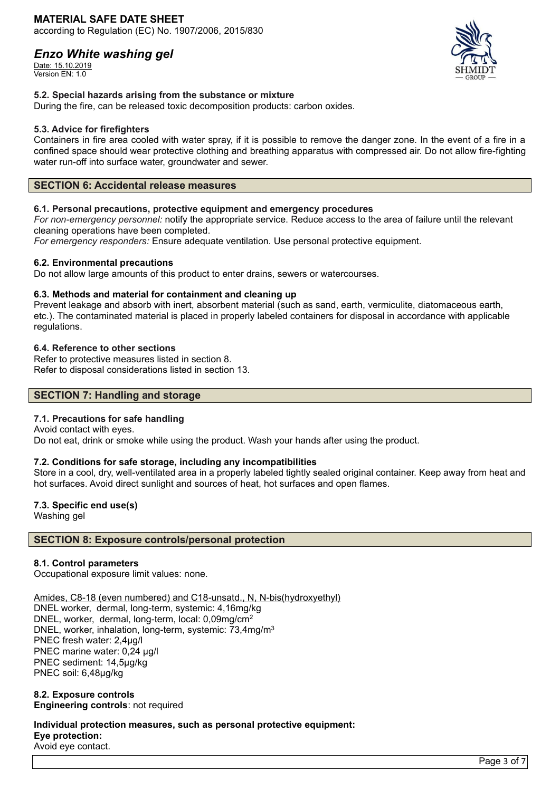Date: 15.10.2019 Version EN: 1.0



### **5.2. Special hazards arising from the substance or mixture**

During the fire, can be released toxic decomposition products: carbon oxides.

### **5.3. Advice for firefighters**

Containers in fire area cooled with water spray, if it is possible to remove the danger zone. In the event of a fire in a confined space should wear protective clothing and breathing apparatus with compressed air. Do not allow fire-fighting water run-off into surface water, groundwater and sewer.

### **SECTION 6: Accidental release measures**

### **6.1. Personal precautions, protective equipment and emergency procedures**

*For non-emergency personnel:* notify the appropriate service. Reduce access to the area of failure until the relevant cleaning operations have been completed.

*For emergency responders:* Ensure adequate ventilation. Use personal protective equipment.

### **6.2. Environmental precautions**

Do not allow large amounts of this product to enter drains, sewers or watercourses.

### **6.3. Methods and material for containment and cleaning up**

Prevent leakage and absorb with inert, absorbent material (such as sand, earth, vermiculite, diatomaceous earth, etc.). The contaminated material is placed in properly labeled containers for disposal in accordance with applicable regulations.

### **6.4. Reference to other sections**

Refer to protective measures listed in section 8. Refer to disposal considerations listed in section 13.

### **SECTION 7: Handling and storage**

### **7.1. Precautions for safe handling**

Avoid contact with eyes. Do not eat, drink or smoke while using the product. Wash your hands after using the product.

### **7.2. Conditions for safe storage, including any incompatibilities**

Store in a cool, dry, well-ventilated area in a properly labeled tightly sealed original container. Keep away from heat and hot surfaces. Avoid direct sunlight and sources of heat, hot surfaces and open flames.

### **7.3. Specific end use(s)**

Washing gel

### **SECTION 8: Exposure controls/personal protection**

### **8.1. Control parameters**

Occupational exposure limit values: none.

Amides, C8-18 (even numbered) and C18-unsatd., N, N-bis(hydroxyethyl)

DNEL worker, dermal, long-term, systemic: 4,16mg/kg DNEL, worker, dermal, long-term, local: 0,09mg/cm<sup>2</sup> DNEL, worker, inhalation, long-term, systemic: 73,4mg/m<sup>3</sup> PNEC fresh water: 2,4µg/l PNEC marine water: 0,24 µg/l PNEC sediment: 14,5µg/kg PNEC soil: 6,48µg/kg

### **8.2. Exposure controls Engineering controls**: not required

**Individual protection measures, such as personal protective equipment: Eye protection:** Avoid eye contact.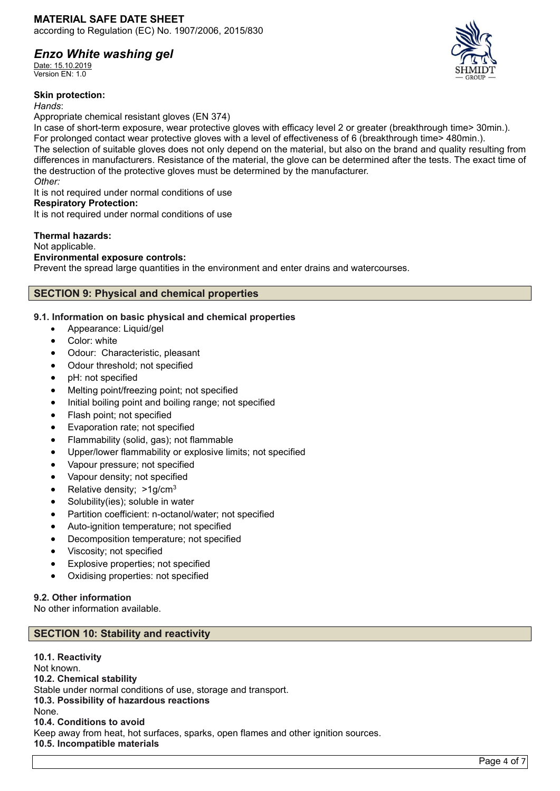Date: 15.10.2019 Version EN: 1.0

### **Skin protection:**

*Hands*:

Appropriate chemical resistant gloves (EN 374)

In case of short-term exposure, wear protective gloves with efficacy level 2 or greater (breakthrough time> 30min.). For prolonged contact wear protective gloves with a level of effectiveness of 6 (breakthrough time> 480min.). The selection of suitable gloves does not only depend on the material, but also on the brand and quality resulting from differences in manufacturers. Resistance of the material, the glove can be determined after the tests. The exact time of the destruction of the protective gloves must be determined by the manufacturer. *Other:*

It is not required under normal conditions of use

### **Respiratory Protection:**

It is not required under normal conditions of use

### **Thermal hazards:**

Not applicable.

### **Environmental exposure controls:**

Prevent the spread large quantities in the environment and enter drains and watercourses.

# **SECTION 9: Physical and chemical properties**

### **9.1. Information on basic physical and chemical properties**

- Appearance: Liquid/gel
- Color: white
- Odour: Characteristic, pleasant
- Odour threshold; not specified
- pH: not specified
- Melting point/freezing point; not specified
- Initial boiling point and boiling range; not specified
- Flash point; not specified
- Evaporation rate; not specified
- Flammability (solid, gas); not flammable
- Upper/lower flammability or explosive limits; not specified
- Vapour pressure; not specified
- Vapour density; not specified
- Relative density: >1g/cm<sup>3</sup>
- Solubility(ies); soluble in water
- Partition coefficient: n-octanol/water; not specified
- Auto-ignition temperature; not specified
- Decomposition temperature; not specified
- Viscosity; not specified
- Explosive properties; not specified
- Oxidising properties: not specified

### **9.2. Other information**

No other information available.

# **SECTION 10: Stability and reactivity**

**10.1. Reactivity** Not known. **10.2. Chemical stability** Stable under normal conditions of use, storage and transport. **10.3. Possibility of hazardous reactions** None. **10.4. Conditions to avoid** Keep away from heat, hot surfaces, sparks, open flames and other ignition sources. **10.5. Incompatible materials**

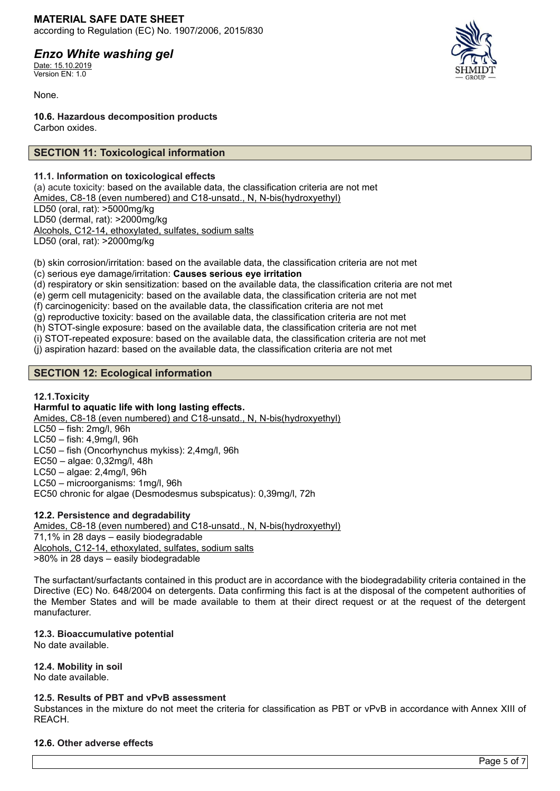### **MATERIAL SAFE DATE SHEET** according to Regulation (EC) No. 1907/2006, 2015/830

# *Enzo White washing gel*

Date: 15.10.2019 Version EN: 1.0

None.

**10.6. Hazardous decomposition products** Carbon oxides.

# **SECTION 11: Toxicological information**

### **11.1. Information on toxicological effects**

(a) acute toxicity: based on the available data, the classification criteria are not met Amides, C8-18 (even numbered) and C18-unsatd., N, N-bis(hydroxyethyl) LD50 (oral, rat): >5000mg/kg LD50 (dermal, rat): >2000mg/kg Alcohols, C12-14, ethoxylated, sulfates, sodium salts LD50 (oral, rat): >2000mg/kg

(b) skin corrosion/irritation: based on the available data, the classification criteria are not met (c) serious eye damage/irritation: **Causes serious eye irritation**

(d) respiratory or skin sensitization: based on the available data, the classification criteria are not met

(e) germ cell mutagenicity: based on the available data, the classification criteria are not met

(f) carcinogenicity: based on the available data, the classification criteria are not met

(g) reproductive toxicity: based on the available data, the classification criteria are not met

(h) STOT-single exposure: based on the available data, the classification criteria are not met

(i) STOT-repeated exposure: based on the available data, the classification criteria are not met

(j) aspiration hazard: based on the available data, the classification criteria are not met

# **SECTION 12: Ecological information**

# **12.1.Toxicity**

### **Harmful to aquatic life with long lasting effects.**

Amides, C8-18 (even numbered) and C18-unsatd., N, N-bis(hydroxyethyl)

LC50 – fish: 2mg/l, 96h

LC50 – fish: 4,9mg/l, 96h LC50 – fish (Oncorhynchus mykiss): 2,4mg/l, 96h

EC50 – algae: 0,32mg/l, 48h

LC50 – algae: 2,4mg/l, 96h

LC50 – microorganisms: 1mg/l, 96h

EC50 chronic for algae (Desmodesmus subspicatus): 0,39mg/l, 72h

# **12.2. Persistence and degradability**

Amides, C8-18 (even numbered) and C18-unsatd., N, N-bis(hydroxyethyl) 71,1% in 28 days – easily biodegradable Alcohols, C12-14, ethoxylated, sulfates, sodium salts >80% in 28 days – easily biodegradable

The surfactant/surfactants contained in this product are in accordance with the biodegradability criteria contained in the Directive (EC) No. 648/2004 on detergents. Data confirming this fact is at the disposal of the competent authorities of the Member States and will be made available to them at their direct request or at the request of the detergent manufacturer.

### **12.3. Bioaccumulative potential**

No date available.

### **12.4. Mobility in soil**

No date available.

### **12.5. Results of PBT and vPvB assessment**

Substances in the mixture do not meet the criteria for classification as PBT or vPvB in accordance with Annex XIII of REACH.

### **12.6. Other adverse effects**

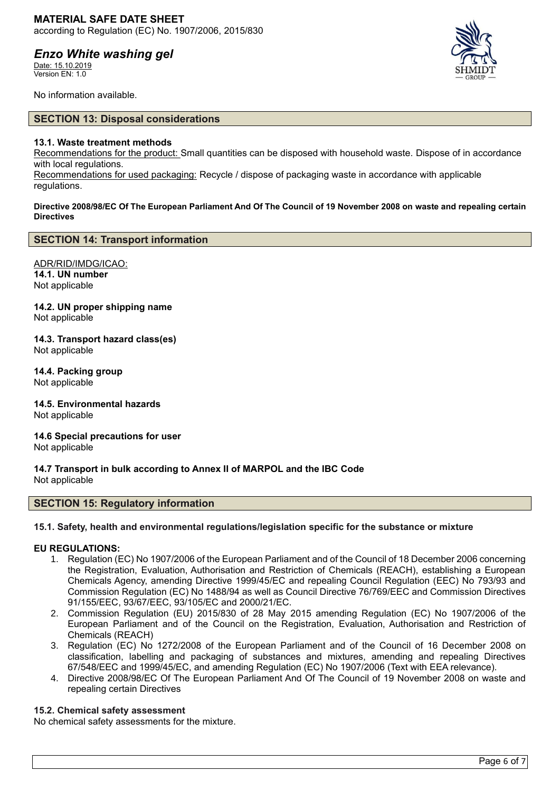Date: 15.10.2019 Version EN: 1.0



No information available.

### **SECTION 13: Disposal considerations**

### **13.1. Waste treatment methods**

Recommendations for the product: Small quantities can be disposed with household waste. Dispose of in accordance with local regulations.

Recommendations for used packaging: Recycle / dispose of packaging waste in accordance with applicable regulations.

**Directive 2008/98/EC Of The European Parliament And Of The Council of 19 November 2008 on waste and repealing certain Directives**

### **SECTION 14: Transport information**

ADR/RID/IMDG/ICAO: **14.1. UN number** Not applicable

**14.2. UN proper shipping name** Not applicable

**14.3. Transport hazard class(es)** Not applicable

**14.4. Packing group** Not applicable

**14.5. Environmental hazards** Not applicable

**14.6 Special precautions for user** Not applicable

**14.7 Transport in bulk according to Annex II of MARPOL and the IBC Code** Not applicable

### **SECTION 15: Regulatory information**

### **15.1. Safety, health and environmental regulations/legislation specific for the substance or mixture**

### **EU REGULATIONS:**

- 1. Regulation (EC) No 1907/2006 of the European Parliament and of the Council of 18 December 2006 concerning the Registration, Evaluation, Authorisation and Restriction of Chemicals (REACH), establishing a European Chemicals Agency, amending Directive 1999/45/EC and repealing Council Regulation (EEC) No 793/93 and Commission Regulation (EC) No 1488/94 as well as Council Directive 76/769/EEC and Commission Directives 91/155/EEC, 93/67/EEC, 93/105/EC and 2000/21/EC.
- 2. Commission Regulation (EU) 2015/830 of 28 May 2015 amending Regulation (EC) No 1907/2006 of the European Parliament and of the Council on the Registration, Evaluation, Authorisation and Restriction of Chemicals (REACH)
- 3. Regulation (EC) No 1272/2008 of the European Parliament and of the Council of 16 December 2008 on classification, labelling and packaging of substances and mixtures, amending and repealing Directives 67/548/EEC and 1999/45/EC, and amending Regulation (EC) No 1907/2006 (Text with EEA relevance).
- 4. Directive 2008/98/EC Of The European Parliament And Of The Council of 19 November 2008 on waste and repealing certain Directives

### **15.2. Chemical safety assessment**

No chemical safety assessments for the mixture.